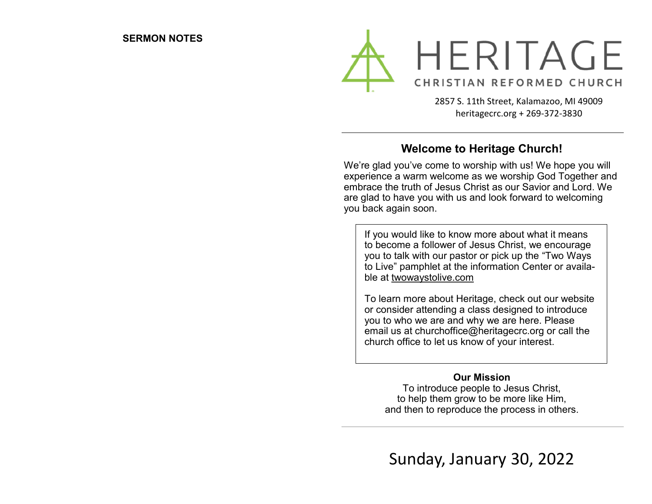

2857 S. 11th Street, Kalamazoo, MI 49009 heritagecrc.org + 269-372-3830

### **Welcome to Heritage Church!**

We're glad you've come to worship with us! We hope you will experience a warm welcome as we worship God Together and embrace the truth of Jesus Christ as our Savior and Lord. We are glad to have you with us and look forward to welcoming you back again soon.

If you would like to know more about what it means to become a follower of Jesus Christ, we encourage you to talk with our pastor or pick up the "Two Ways to Live" pamphlet at the information Center or available at twowaystolive.com

To learn more about Heritage, check out our website or consider attending a class designed to introduce you to who we are and why we are here. Please email us at churchoffice@heritagecrc.org or call the church office to let us know of your interest.

### **Our Mission**

To introduce people to Jesus Christ, to help them grow to be more like Him, and then to reproduce the process in others.

Sunday, January 30, 2022